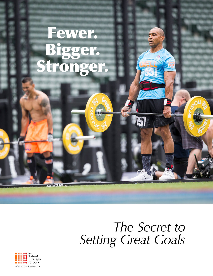# Fewer. Bigger. Stronger.

## *The Secret to Setting Great Goals*

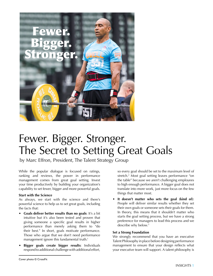

## Fewer. Bigger. Stronger. The Secret to Setting Great Goals

by Marc Effron, President, The Talent Strategy Group

While the popular dialogue is focused on ratings, ranking and reviews, the power in performance management comes from great goal setting. Invest your time productively by building your organization's capability to set fewer, bigger and more powerful goals.

#### **Start with the Science**

As always, we start with the science and there's powerful science to help us to set great goals, including the facts that:

- **• Goals deliver better results than no goals**: It's a bit intuitive but it's also been tested and proven that giving someone a specific goal results in higher performance than merely asking them to "do their best." In short, goals motivate performance. Those who argue that we don't need performance management ignore this fundamental truth.<sup>1</sup>
- **• Bigger goals create bigger results**: Individuals respond to additional challenge with additional effort,

so every goal should be set to the maximum level of stretch.2 Most goal setting leaves performance "on the table" because we aren't challenging employees to high enough performance. A bigger goal does not translate into more work, just more focus on the few things that matter most.

**• It doesn't matter who sets the goal (kind of)**: People will deliver similar results whether they set their own goals or someone sets their goals for them. In theory, this means that it shouldn't matter who starts the goal setting process, but we have a strong preference for managers to lead this process and we describe why below.3

#### **Set a Strong Foundation**

We strongly recommend that you have an executive Talent Philosophy in place before designing performance management to ensure that your design reflects what your executive team will support. A talent philosophy is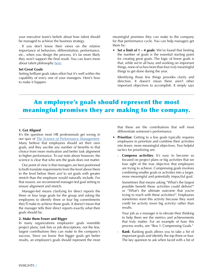your executive team's beliefs about how talent should be managed to achieve the business strategy.

If you don't know their views on the relative importance of behaviors, differentiation, performance, etc., when you design the process, it's far more likely they won't support the final result. You can learn more about talent philosophy [here.](http://www.talentstrategygroup.com/publications/talent-strategy/an-update-what-s-your-talent-philosophy)

#### **Set Great Goals**

Setting brilliant goals takes effort but it's well within the capability of every one of your managers. Here's how to make it happen:

meaningful promises they can make to the company for that performance cycle. You can help managers get there by:

**• Set a limit of 1 – 4 goals**: We've found that limiting the number of goals is the essential starting point for creating great goals. The logic of fewer goals is that, while we're all busy and working on important things, none of us has more than four *truly* meaningful things to get done during the year.

Identifying those few things provides clarity and direction. It doesn't mean there aren't other important objectives to accomplish. It simply says

### An employee's goals should represent the most meaningful promises they are making to the company.

#### **1. Get Aligned**

It's the question most HR professionals get wrong in our quiz of [The Science of Performance Management](http://bit.ly/TMSciQuiz). Many believe that employees should set their own goals, and they ascribe any number of benefits to that choice from more motivation and better task alignment to higher performance. To our note above however, the science is clear that who sets the goals does not matter.

Our point of view is that managers are best positioned to both translate requirements from the level above them to the level below them *and* to set goals with greater stretch than the employee would naturally include. For that reason, we recommend manager-led goal setting to ensure alignment and stretch.

Manager-led means clarifying for direct reports the three or four large goals for the group and asking the employees to identify three or four big commitments they'll make to achieve those goals. It doesn't mean that the manager tells their direct reports exactly what their goals should be.

#### **2. Make them Fewer and Bigger**

In many organizations employees' goals resemble project plans, task lists or job descriptions, not the few, largest contributions they can make to the company's success. Since we know that bigger goals get better results, an employee's goals should represent the most

that these are the contributions that will most differentiate someone's performance.

- **Prioritize**: Getting to a few goals typically requires employees to prioritize and combine their activities into fewer, more meaningful objectives. Two helpful tactics for prioritizing are:
	- **Compress activities**: It's easy to become so focused on project plans or big activities that we lose sight of the true objective that employees are trying to achieve. Compressing goals involves combining smaller goals or activities into a larger, more meaningful and potentially impactful goal.

Sometimes that means asking "What's the largest possible benefit these activities could deliver?" or "What's the ultimate outcome that you're trying to reach with these activities?". Employees sometimes resist this activity because they want credit for activity (even big activity) rather than results.

Your job as a manager is to elevate their thinking to help them see the metrics and achievements that truly matter. For an example of how this process works, see "Box 1: Compressing Goals."

Rank: Ranking goals allows you to take a list of important goals and identify the top three or four. The key question to ask when faced with a list of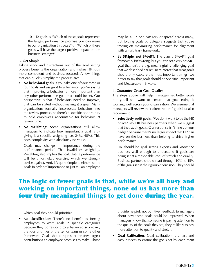10 – 12 goals is "Which of these goals represents the largest performance promise you can make to our organization this year?" or "Which of these goals will have the largest positive impact on the business strategy?"

#### **3. Get Simple**

Taking work and distractions out of the goal setting process benefits the organization and makes HR look more competent and business-focused. A few things that can quickly simplify the process are:

- **• No behavioral goals**: If you take one of your three or four goals and assign it to a behavior, you're saying that improving a behavior is more important than any other performance goal that could be set. Our perspective is that if behaviors need to improve, that can be stated without making it a goal. Many organizations formally incorporate behaviors into the review process, so there's a specific opportunity to hold employees accountable for behaviors at review time.
- **• No weighting**: Some organizations still allow managers to indicate how important a goal is by giving it a specific weighting (i.e. 24%, 40%). This adds complexity with absolutely no value.

Goals may change in importance during the performance period. That invalidates weighting. Weighting also implies that calculating performance will be a formulaic exercise, which we strongly advise against. And, it's quite simple to either list the goals in order of importance or just tell an employee

may be all in one category or spread across many, but forcing goals by category suggests that you're trading off maximizing performance for alignment with an arbitrary framework.

**• Be SIMple, not SMART**: The classic SMART goal framework isn't wrong, but you can set a very SMART goal that isn't the big, meaningful, challenging goal that we described earlier. To reinforce that great goals should only capture the most important things, we prefer to say that goals should be Specific, Important and Measurable – SIMple.

#### **4. Guarantee Great Goal Quality**

The steps above will help managers set better goals but you'll still want to ensure that goal-setting is working well across your organization. We assume that managers will review their direct reports' goals but also recommend:

**• Selectively audit goals**: "We don't want to be the HR police" say HR business partners when we suggest that they audit goals. Our response is "Shine up your badge" because there's no larger impact that HR can have on the business than helping to drive higher performance.

HR should be goal setting experts and know the business well enough to understand if goals are being set at a reasonable level of stretch and quality. Business partners should read through 10% to 15% of the goals set in their group or division. They should

### The logic of fewer goals is that, while we're all busy and working on important things, none of us has more than four truly meaningful things to get done during the year.

which goal they should prioritize.

**• No classification**: There's no benefit to forcing employees to write goals in specific categories because they correspond to a balanced scorecard, the four priorities of the senior team or some other framework. Goals should represent the few, largest contributions an employee promises to make. Those

provide helpful, not punitive, feedback to managers about how these goals could be improved. When managers know that someone is paying attention to the quality of the goals they set, they're likely to pay more attention to quality and stretch.

**• Goal Calibration**: Goal calibration is a fast and easy process to ensure the goals set by each team